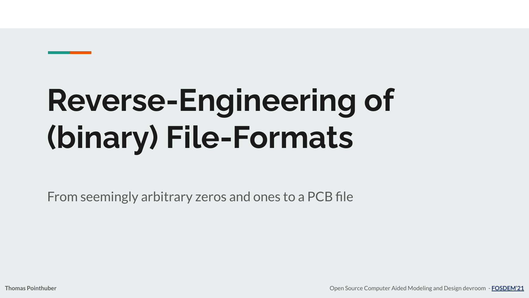# **Reverse-Engineering of (binary) File-Formats**

From seemingly arbitrary zeros and ones to a PCB file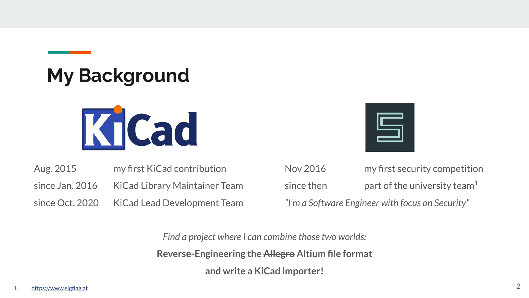#### **My Background**



| Aug. 2015       | my first KiCad contribution          |
|-----------------|--------------------------------------|
| since Jan. 2016 | <b>KiCad Library Maintainer Team</b> |
| since Oct. 2020 | <b>KiCad Lead Development Team</b>   |



Nov 2016 my first security competition since then **part of the university team**<sup>1</sup> *"I'm a Software Engineer with focus on Security"*

*Find a project where I can combine those two worlds:* **Reverse-Engineering the Allegro Altium file format and write a KiCad importer!**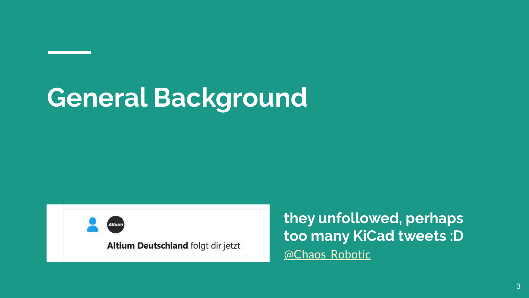# **General Background**

Altium Deutschland folgt dir jetzt

**they unfollowed, perhaps too many KiCad tweets :D** @Chaos Robotic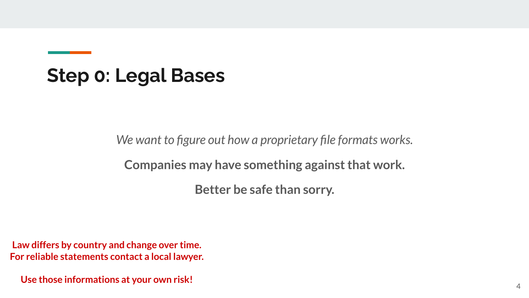#### **Step 0: Legal Bases**

*We want to figure out how a proprietary file formats works.*

**Companies may have something against that work.**

**Better be safe than sorry.**

**Law differs by country and change over time. For reliable statements contact a local lawyer.**

**Use those informations at your own risk!**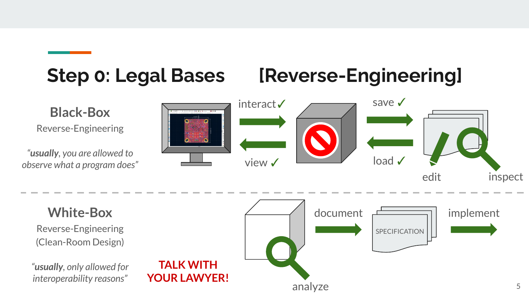#### **Step 0: Legal Bases [Reverse-Engineering]**

**Black-Box**  Reverse-Engineering

*"usually, you are allowed to observe what a program does"*



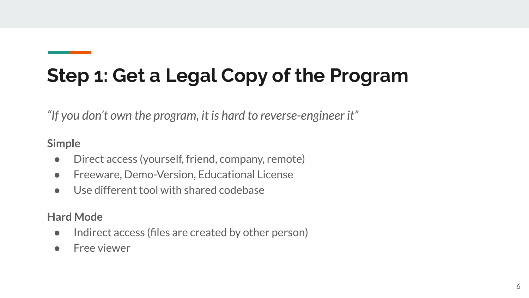# **Step 1: Get a Legal Copy of the Program**

*"If you don't own the program, it is hard to reverse-engineer it"*

**Simple**

- Direct access (yourself, friend, company, remote)
- Freeware, Demo-Version, Educational License
- Use different tool with shared codebase

**Hard Mode**

- Indirect access (files are created by other person)
- Free viewer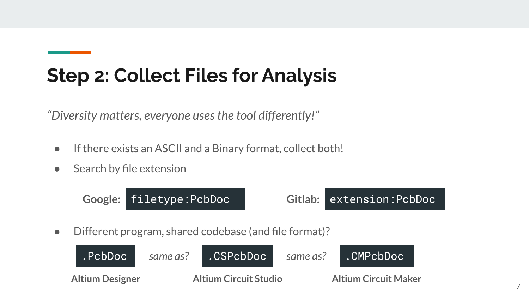# **Step 2: Collect Files for Analysis**

*"Diversity matters, everyone uses the tool differently!"*

- **●** If there exists an ASCII and a Binary format, collect both!
- **●** Search by file extension

● Different program, shared codebase (and file format)? **Google:** filetype:PcbDoc **Gitlab:** extension:PcbDoc

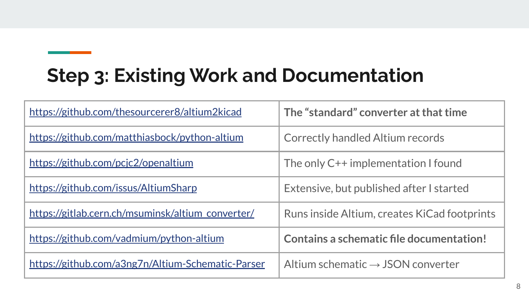# **Step 3: Existing Work and Documentation**

| https://github.com/thesourcerer8/altium2kicad     | The "standard" converter at that time         |
|---------------------------------------------------|-----------------------------------------------|
| https://github.com/matthiasbock/python-altium     | Correctly handled Altium records              |
| https://github.com/pcjc2/openaltium               | The only C++ implementation I found           |
| https://github.com/issus/AltiumSharp              | Extensive, but published after I started      |
| https://gitlab.cern.ch/msuminsk/altium_converter/ | Runs inside Altium, creates KiCad footprints  |
| https://github.com/vadmium/python-altium          | Contains a schematic file documentation!      |
| https://github.com/a3ng7n/Altium-Schematic-Parser | Altium schematic $\rightarrow$ JSON converter |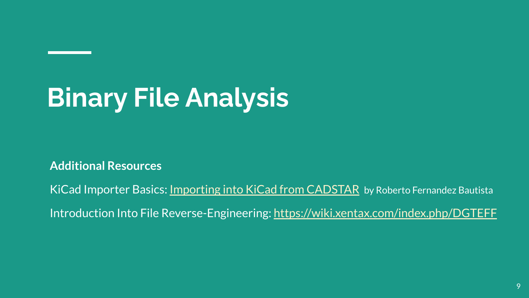# **Binary File Analysis**

**Additional Resources**

KiCad Importer Basics: [Importing into KiCad from CADSTAR](https://fosdem.org/2021/schedule/event/openhard_cadstar/) by Roberto Fernandez Bautista

Introduction Into File Reverse-Engineering: <https://wiki.xentax.com/index.php/DGTEFF>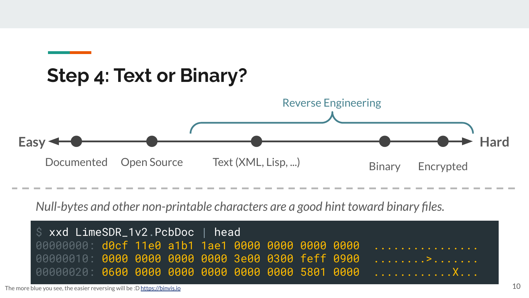

*Null-bytes and other non-printable characters are a good hint toward binary files.*

| \$ xxd LimeSDR_1v2.PcbDoc   head |  |  |  |  |  |  |  |  |                                                  |
|----------------------------------|--|--|--|--|--|--|--|--|--------------------------------------------------|
|                                  |  |  |  |  |  |  |  |  | 00000000 d0cf 11e0 a1b1 1ae1 0000 0000 0000 0000 |
|                                  |  |  |  |  |  |  |  |  |                                                  |
|                                  |  |  |  |  |  |  |  |  |                                                  |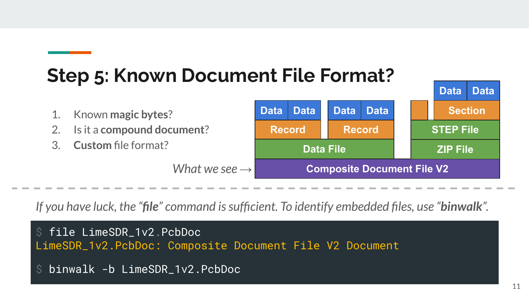#### **Step 5: Known Document File Format?**



*If you have luck, the "file" command is sufficient. To identify embedded files, use "binwalk".*

\$ file LimeSDR\_1v2.PcbDoc LimeSDR\_1v2.PcbDoc: Composite Document File V2 Document

```
binwalk -b LimeSDR_1v2.PcbDoc
```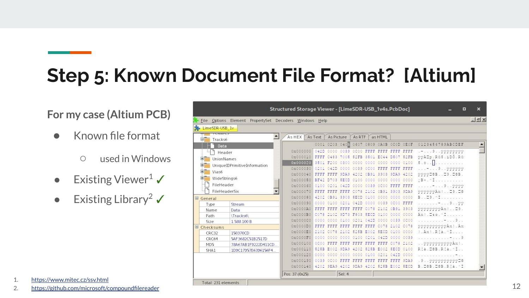# **Step 5: Known Document File Format? [Altium]**

#### **For my case (Altium PCB)**

- Known file format
	- used in Windows
- Existing Viewer<sup>1</sup>
- Existing Library<sup>2</sup>  $\checkmark$

|                        |                                                        | Structured Storage Viewer - [LimeSDR-USB_1v4s.PcbDoc] |               |            |                |               |           |             |           |             | ▣                      | $\times$         |
|------------------------|--------------------------------------------------------|-------------------------------------------------------|---------------|------------|----------------|---------------|-----------|-------------|-----------|-------------|------------------------|------------------|
|                        | File Options Element PropertySet Decoders Windows Help |                                                       |               |            |                |               |           |             |           |             |                        | $-5x$            |
| LimeSDR-USB_1v         |                                                        |                                                       |               |            |                |               |           |             |           |             |                        |                  |
|                        | CALLIC.<br>$\blacktriangle$                            | As HEX                                                | As Text       | As Picture |                | <b>As RTF</b> |           | as HTML     |           |             |                        |                  |
| e,<br>Tracks6          |                                                        |                                                       |               |            |                |               |           |             |           |             |                        |                  |
|                        | Data                                                   |                                                       |               |            | 0001 0203 0405 | 0607          | 0809 DAOB |             | OCOD OEOF |             | 0123456789ABCDEF       | $\blacktriangle$ |
|                        | Header                                                 | 0x000000                                              | 042D          | 0000       | 0039           | OCOO FFFF     |           | EFFE        | 3335      | FFFF        |                        |                  |
| Đ.                     | UnionNames                                             | 0x000010                                              | FFFF          |            |                | 0FB           | 35        | E<br>C44    | DSO7      | <b>SOFB</b> | VVAIp.RGS.iDO.RG       |                  |
| 田                      | UniqueIDPrimitiveInformation                           | 0x000020                                              | 3501          |            |                |               | DOOD.     | 0000        | 0000 0100 |             | 5.0.                   |                  |
| 田<br>Vias6             |                                                        | 0x000030                                              | 0201          |            |                |               |           |             | 3335      | EFFF        | 9.1999999              |                  |
| 宙                      | WideStrings6                                           | 0x000040                                              | <b>EXIST</b>  |            |                |               |           | 3903        | 9DA9 4202 |             | 00000B59.50B.          |                  |
|                        |                                                        | 0x000050                                              | <b>BF40</b>   |            |                |               |           | 0000        | 0000 0000 |             | $B \times A \cdot 1$   |                  |
|                        | FileHeader                                             | 0x000060                                              | 0100          |            |                |               |           | <b>DCDD</b> | FFFF FFFF |             | 99000                  |                  |
|                        | FileHeaderSix                                          | 0x000070                                              | <b>Factor</b> |            |                |               |           |             | 3903 9DA9 |             | 000000Ax1 09.08        |                  |
| $\blacksquare$ General |                                                        | 0x000080                                              |               |            |                |               |           |             | 0000      | 0000        | 9.1<br>B.,             |                  |
| Type                   | Stream                                                 | 0x000090                                              | 0000          |            |                |               |           |             | OCOO FFFF |             | $-1.19.99$             |                  |
| Name                   | Data                                                   | 0x0000A0                                              | 7775          |            |                |               |           |             | OB91 3903 |             | 99999999Ax1 . 09.      |                  |
| Path                   | \Tracks6\                                              | 0x0000B0                                              | C078          |            |                | BЯ            |           | 0100        | 0000 0000 |             | Axi. Sse. ^ I          |                  |
| Size                   | 1.588.100 B                                            | 0x0000C0                                              | 0000          |            |                |               |           | 0000        | 0039 0000 |             | . 9                    |                  |
| $\Box$ Checksums       |                                                        | 0x0000D0                                              | a alam        |            |                |               |           |             |           | CO78        | 9999999999Ax!.Ax       |                  |
| CRC32                  | 150370CD                                               | 0x0000E0                                              |               |            |                |               |           |             | 03.00     | 0000        | l.Ani.Rfa.of           |                  |
| CRC64                  | 5AF3682C51B2517D                                       | 0x0000F0                                              | 0000          |            |                |               |           |             | 0000 0039 |             |                        |                  |
| MD <sub>5</sub>        | 78A67AB1F9222D411CD.                                   | 0x000100                                              | ĐС            |            |                |               |           |             | 78        | 2102        | 9999999999Axl.         |                  |
| SHA1                   | 1D9C17957E6396156F4                                    | 0x000110                                              | 525B          |            |                |               |           |             |           | 0100        | RIA DOB RIA - I        |                  |
|                        |                                                        | 0x000120                                              | 8000          |            |                |               | DB.       |             |           | 0000        |                        |                  |
|                        |                                                        | 0x000130                                              | 0039          |            |                |               |           |             |           | 9DA9        | .900000000000          |                  |
|                        |                                                        | 0x000140                                              | 4202          | 9349       | Οû<br>42       | 9DA9 4        | 02        | 525B        | E002 SECD |             | B. DOB. DOB. R (a. ^ I |                  |
|                        |                                                        | Pos: 37 (0x25)                                        |               |            | Sel: 4         |               |           |             |           |             |                        |                  |
|                        | Total: 231 elements                                    |                                                       |               |            |                |               |           |             |           |             |                        |                  |

- 1. <https://www.mitec.cz/ssv.html>
- 2. <https://github.com/microsoft/compoundfilereader>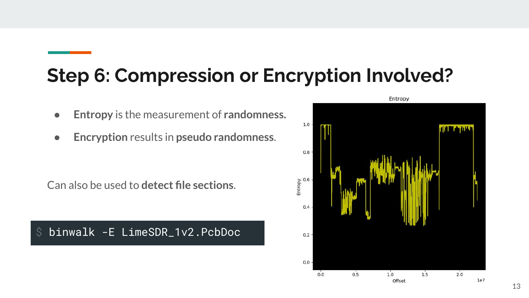#### **Step 6: Compression or Encryption Involved?**

- **Entropy** is the measurement of **randomness.**
- **Encryption** results in **pseudo randomness**.

Can also be used to **detect file sections**.

\$ binwalk -E LimeSDR\_1v2.PcbDoc

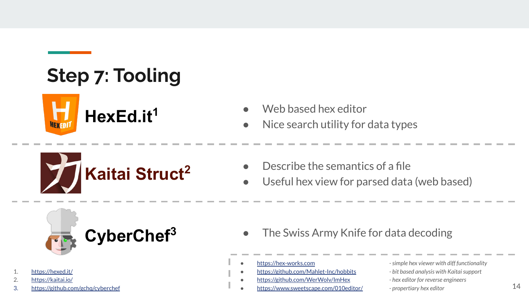# **Step 7: Tooling**







- Nice search utility for data types
- $\Box$  Describe the semantics of a file
- Useful hex view for parsed data (web based)



- 1. <https://hexed.it/>
- 2. <https://kaitai.io/>
- 3. <https://github.com/gchq/cyberchef>
- **CyberChef<sup>3</sup>** The Swiss Army Knife for data decoding
	-
	-
	- <https://github.com/WerWolv/ImHex>  *hex editor for reverse engineers*
	- <https://www.sweetscape.com/010editor/>  *propertiary hex editor*
- <https://hex-works.com>  *simple hex viewer with diff functionality* ● <https://github.com/Mahlet-Inc/hobbits> *- bit based analysis with Kaitai support*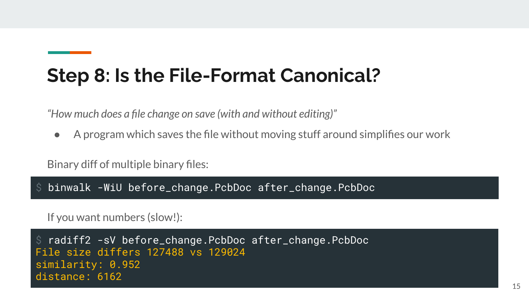#### **Step 8: Is the File-Format Canonical?**

*"How much does a file change on save (with and without editing)"*

● A program which saves the file without moving stuff around simplifies our work

Binary diff of multiple binary files:

\$ binwalk -WiU before\_change.PcbDoc after\_change.PcbDoc

If you want numbers (slow!):

\$ radiff2 -sV before\_change.PcbDoc after\_change.PcbDoc File size differs 127488 vs 129024 similarity: 0.952 distance: 6162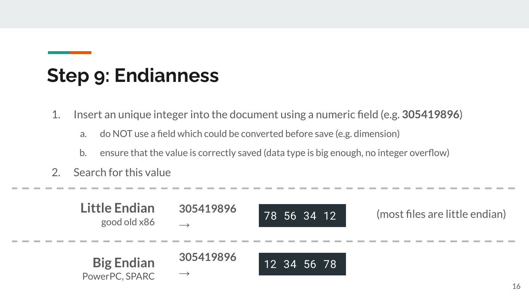#### **Step 9: Endianness**

- 1. Insert an unique integer into the document using a numeric field (e.g. **305419896**)
	- a. do NOT use a field which could be converted before save (e.g. dimension)
	- b. ensure that the value is correctly saved (data type is big enough, no integer overflow)
- 2. Search for this value

| Little Endian<br>good old x86       | 305419896                  | 78 56 34 12 | (most files are little endian) |
|-------------------------------------|----------------------------|-------------|--------------------------------|
| <b>Big Endian</b><br>PowerPC, SPARC | 305419896<br>$\rightarrow$ | 12 34 56 78 |                                |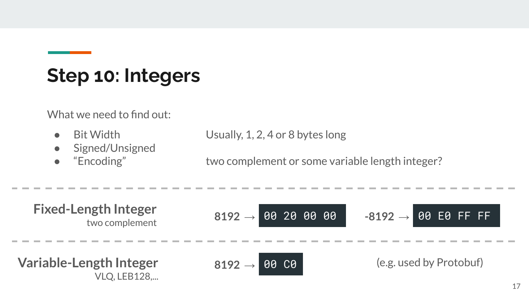#### **Step 10: Integers**

What we need to find out:

- 
- Signed/Unsigned
- 

Bit Width Usually, 1, 2, 4 or 8 bytes long

● "Encoding" two complement or some variable length integer?

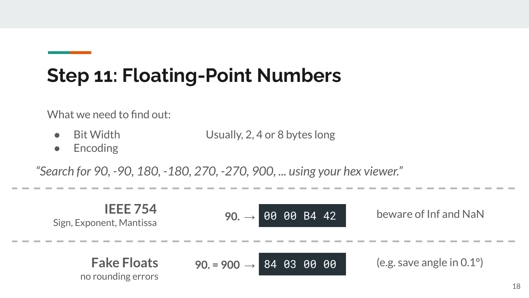# **Step 11: Floating-Point Numbers**

What we need to find out:

- Bit Width Usually, 2, 4 or 8 bytes long
- Encoding

*"Search for 90, -90, 180, -180, 270, -270, 900, ... using your hex viewer."*

| IEEE 754 | 90. | 90. | 90. $\rightarrow$ | 90. $\rightarrow$ | 90. $\rightarrow$ | 90. $\rightarrow$ | 90. $\rightarrow$ | 90. $\rightarrow$ | 90. $\rightarrow$ | 90. $\rightarrow$ | 90. $\rightarrow$ | 90. $\rightarrow$ | 90. $\rightarrow$ | 90. $\rightarrow$ | 90. $\rightarrow$ | 90. $\rightarrow$ | 90. $\rightarrow$ | 90. $\rightarrow$ | 90. $\rightarrow$ | 90. $\rightarrow$ | 90. $\rightarrow$ | 90. $\rightarrow$ | 90. $\rightarrow$ | 90. $\rightarrow$ | 90. $\rightarrow$ | 90. $\rightarrow$ | 90. $\rightarrow$ | 90. $\rightarrow$ | 90. $\rightarrow$ | 90. $\rightarrow$ | 90. $\rightarrow$ | 90. $\rightarrow$ | 90. $\rightarrow$ | 90. $\rightarrow$ | 90. $\rightarrow$ | 90. $\rightarrow$ | 90. $\rightarrow$ | 90. $\rightarrow$ | 90. $\rightarrow$ | 90. $\rightarrow$ | 90. $\rightarrow$ | 90. $\rightarrow$ | 90. $\rightarrow$ | 90. $\rightarrow$ | 90. $\rightarrow$ | 90. $\rightarrow$ | 90. $\rightarrow$ | 90. $\rightarrow$ | 90. $\rightarrow$ | 90. $\rightarrow$ | 90. $\rightarrow$ |
|----------|-----|-----|-------------------|-------------------|-------------------|-------------------|-------------------|-------------------|-------------------|-------------------|-------------------|-------------------|-------------------|-------------------|-------------------|-------------------|-------------------|-------------------|-------------------|-------------------|-------------------|-------------------|-------------------|-------------------|-------------------|-------------------|-------------------|-------------------|-------------------|-------------------|-------------------|-------------------|-------------------|-------------------|-------------------|-------------------|-------------------|-------------------|-------------------|-------------------|-------------------|-------------------|-------------------|-------------------|-------------------|-------------------|-------------------|-------------------|-------------------|-------------------|-------------------|
|----------|-----|-----|-------------------|-------------------|-------------------|-------------------|-------------------|-------------------|-------------------|-------------------|-------------------|-------------------|-------------------|-------------------|-------------------|-------------------|-------------------|-------------------|-------------------|-------------------|-------------------|-------------------|-------------------|-------------------|-------------------|-------------------|-------------------|-------------------|-------------------|-------------------|-------------------|-------------------|-------------------|-------------------|-------------------|-------------------|-------------------|-------------------|-------------------|-------------------|-------------------|-------------------|-------------------|-------------------|-------------------|-------------------|-------------------|-------------------|-------------------|-------------------|-------------------|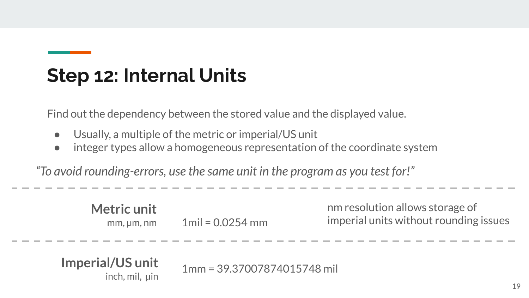#### **Step 12: Internal Units**

Find out the dependency between the stored value and the displayed value.

- Usually, a multiple of the metric or imperial/US unit
- integer types allow a homogeneous representation of the coordinate system

*"To avoid rounding-errors, use the same unit in the program as you test for!"*

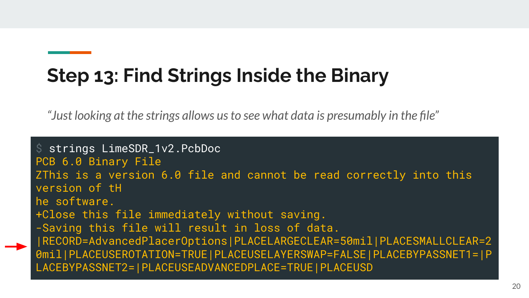# **Step 13: Find Strings Inside the Binary**

*"Just looking at the strings allows us to see what data is presumably in the file"*

\$ strings LimeSDR\_1v2.PcbDoc PCB 6.0 Binary File ZThis is a version 6.0 file and cannot be read correctly into this version of tH he software. +Close this file immediately without saving. -Saving this file will result in loss of data. |RECORD=AdvancedPlacerOptions|PLACELARGECLEAR=50mil|PLACESMALLCLEAR=2 0mil|PLACEUSEROTATION=TRUE|PLACEUSELAYERSWAP=FALSE|PLACEBYPASSNET1=|P LACEBYPASSNET2=|PLACEUSEADVANCEDPLACE=TRUE|PLACEUSD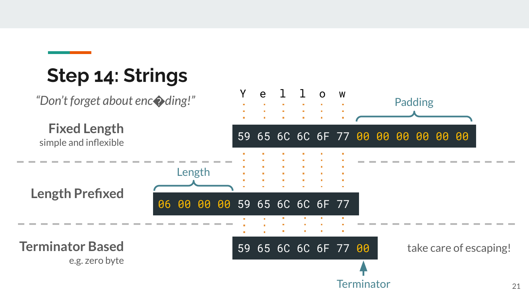# **Step 14: Strings**

*"Don't forget about enc*�*ding!"*

**Length Prefixed Fixed Length** simple and inflexible **Terminator Based** e.g. zero byte 59 65 6C 6C 6F 77 00 00 00 00 00 00 59 65 6C 6C 6F 77 00 06 00 00 00 59 65 6C 6C 6F 77 Length **Terminator** take care of escaping!

Y e l l o w

Padding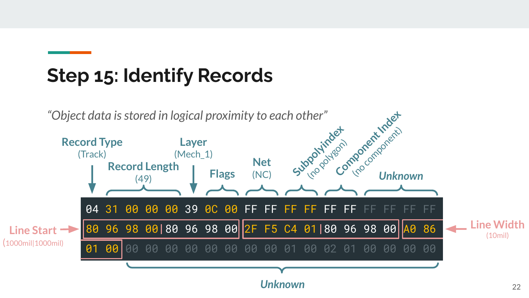#### **Step 15: Identify Records**

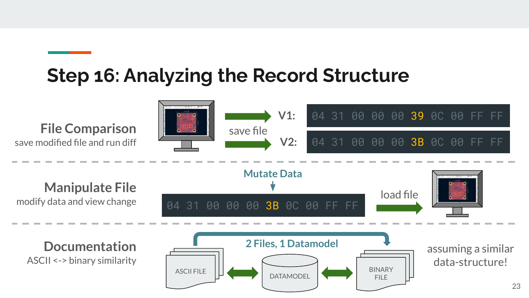#### **Step 16: Analyzing the Record Structure**